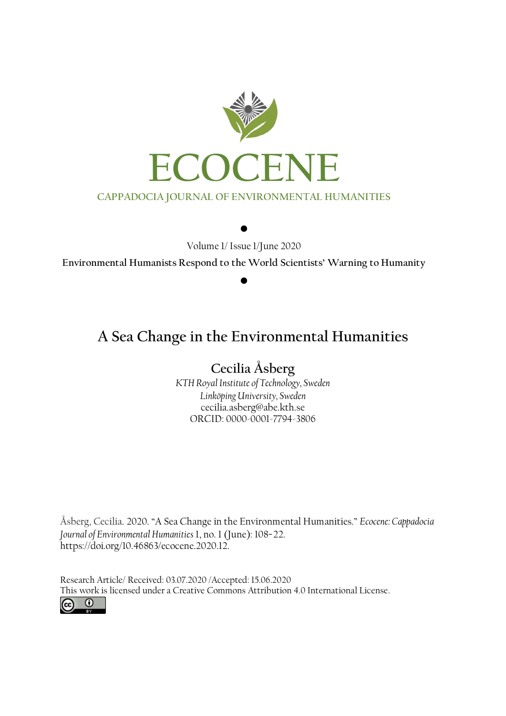

Volume 1/ Issue 1/June 2020

 $\bullet$ 

**Environmental Humanists Respond to the World Scientists' Warning to Humanity**

 $\bullet$ 

# **A Sea Change in the Environmental Humanities**

## **Cecilia Åsberg**

*KTH Royal Institute of Technology, Sweden Linköping University, Sweden*  cecilia.asberg@abe.kth.se ORCID: 0000-0001-7794-3806

Åsberg, Cecilia. 2020. "A Sea Change in the Environmental Humanities." *Ecocene: Cappadocia Journal of Environmental Humanities* 1, no. 1 (June): 108−22. https://doi.org/10.46863/ecocene.2020.12.

Research Article/ Received: 03.07.2020 /Accepted: 15.06.2020 This work is licensed under a [Creative Commons Attribution 4.0 International License.](http://creativecommons.org/licenses/by/4.0/)

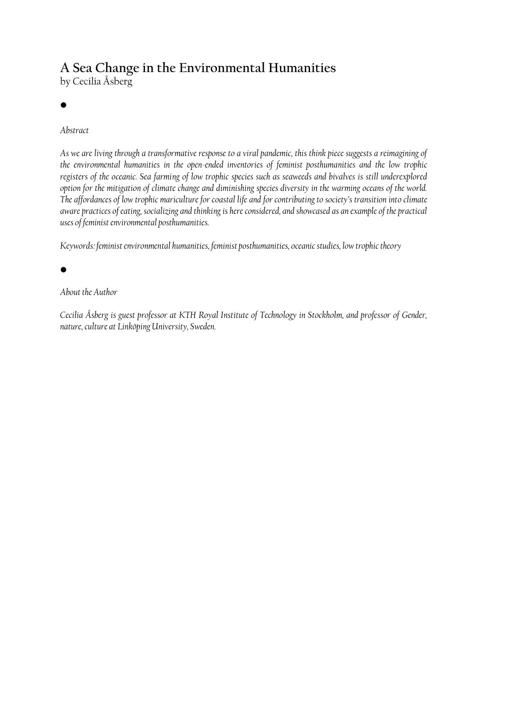# **A Sea Change in the Environmental Humanities**

by Cecilia Åsberg

### •

### *Abstract*

*As we are living through a transformative response to a viral pandemic, this think piece suggests a reimagining of the environmental humanities in the open-ended inventories of feminist posthumanities and the low trophic*  registers of the oceanic. Sea farming of low trophic species such as seaweeds and bivalves is still underexplored *option for the mitigation of climate change and diminishing species diversity in the warming oceans of the world. The affordances of low trophic mariculture for coastal life and for contributing to society's transition into climate aware practices of eating, socializing and thinking is here considered, and showcased as an example of the practical uses of feminist environmental posthumanities.* 

*Keywords: feminist environmental humanities, feminist posthumanities, oceanic studies, low trophic theory*

•

#### *About the Author*

*Cecilia Åsberg is guest professor at KTH Royal Institute of Technology in Stockholm, and professor of Gender, nature, culture at Linköping University, Sweden.*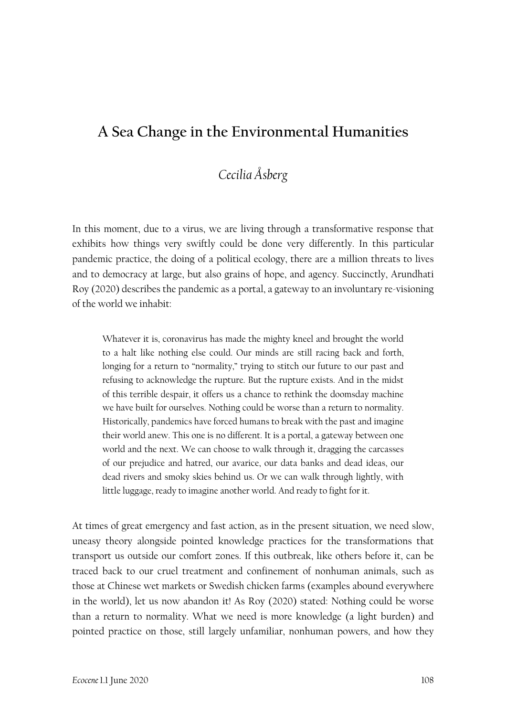## **A Sea Change in the Environmental Humanities**

## *Cecilia Åsberg*

In this moment, due to a virus, we are living through a transformative response that exhibits how things very swiftly could be done very differently. In this particular pandemic practice, the doing of a political ecology, there are a million threats to lives and to democracy at large, but also grains of hope, and agency. Succinctly, Arundhati Roy (2020) describes the pandemic as a portal, a gateway to an involuntary re-visioning of the world we inhabit:

Whatever it is, coronavirus has made the mighty kneel and brought the world to a halt like nothing else could. Our minds are still racing back and forth, longing for a return to "normality," trying to stitch our future to our past and refusing to acknowledge the rupture. But the rupture exists. And in the midst of this terrible despair, it offers us a chance to rethink the doomsday machine we have built for ourselves. Nothing could be worse than a return to normality. Historically, pandemics have forced humans to break with the past and imagine their world anew. This one is no different. It is a portal, a gateway between one world and the next. We can choose to walk through it, dragging the carcasses of our prejudice and hatred, our avarice, our data banks and dead ideas, our dead rivers and smoky skies behind us. Or we can walk through lightly, with little luggage, ready to imagine another world. And ready to fight for it.

At times of great emergency and fast action, as in the present situation, we need slow, uneasy theory alongside pointed knowledge practices for the transformations that transport us outside our comfort zones. If this outbreak, like others before it, can be traced back to our cruel treatment and confinement of nonhuman animals, such as those at Chinese wet markets or Swedish chicken farms (examples abound everywhere in the world), let us now abandon it! As Roy (2020) stated: Nothing could be worse than a return to normality. What we need is more knowledge (a light burden) and pointed practice on those, still largely unfamiliar, nonhuman powers, and how they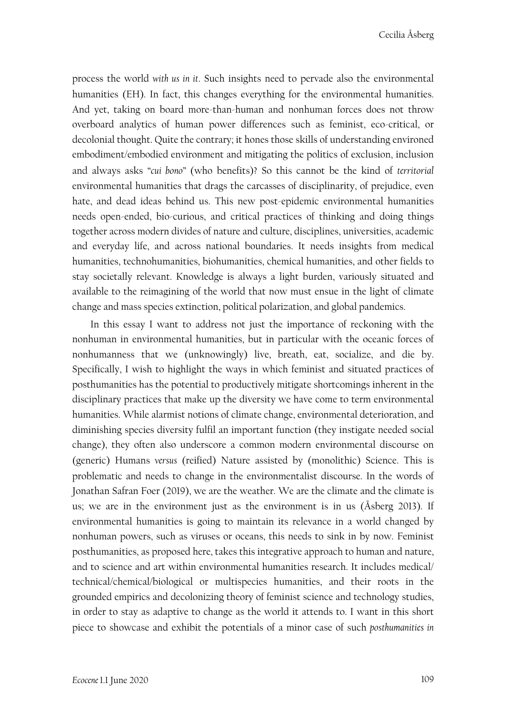process the world *with us in it*. Such insights need to pervade also the environmental humanities (EH). In fact, this changes everything for the environmental humanities. And yet, taking on board more-than-human and nonhuman forces does not throw overboard analytics of human power differences such as feminist, eco-critical, or decolonial thought. Quite the contrary; it hones those skills of understanding environed embodiment/embodied environment and mitigating the politics of exclusion, inclusion and always asks "*cui bono*" (who benefits)? So this cannot be the kind of *territorial* environmental humanities that drags the carcasses of disciplinarity, of prejudice, even hate, and dead ideas behind us. This new post-epidemic environmental humanities needs open-ended, bio-curious, and critical practices of thinking and doing things together across modern divides of nature and culture, disciplines, universities, academic and everyday life, and across national boundaries. It needs insights from medical humanities, technohumanities, biohumanities, chemical humanities, and other fields to stay societally relevant. Knowledge is always a light burden, variously situated and available to the reimagining of the world that now must ensue in the light of climate change and mass species extinction, political polarization, and global pandemics.

In this essay I want to address not just the importance of reckoning with the nonhuman in environmental humanities, but in particular with the oceanic forces of nonhumanness that we (unknowingly) live, breath, eat, socialize, and die by. Specifically, I wish to highlight the ways in which feminist and situated practices of posthumanities has the potential to productively mitigate shortcomings inherent in the disciplinary practices that make up the diversity we have come to term environmental humanities. While alarmist notions of climate change, environmental deterioration, and diminishing species diversity fulfil an important function (they instigate needed social change), they often also underscore a common modern environmental discourse on (generic) Humans *versus* (reified) Nature assisted by (monolithic) Science. This is problematic and needs to change in the environmentalist discourse. In the words of Jonathan Safran Foer (2019), we are the weather. We are the climate and the climate is us; we are in the environment just as the environment is in us (Åsberg 2013). If environmental humanities is going to maintain its relevance in a world changed by nonhuman powers, such as viruses or oceans, this needs to sink in by now. Feminist posthumanities, as proposed here, takes this integrative approach to human and nature, and to science and art within environmental humanities research. It includes medical/ technical/chemical/biological or multispecies humanities, and their roots in the grounded empirics and decolonizing theory of feminist science and technology studies, in order to stay as adaptive to change as the world it attends to. I want in this short piece to showcase and exhibit the potentials of a minor case of such *posthumanities in*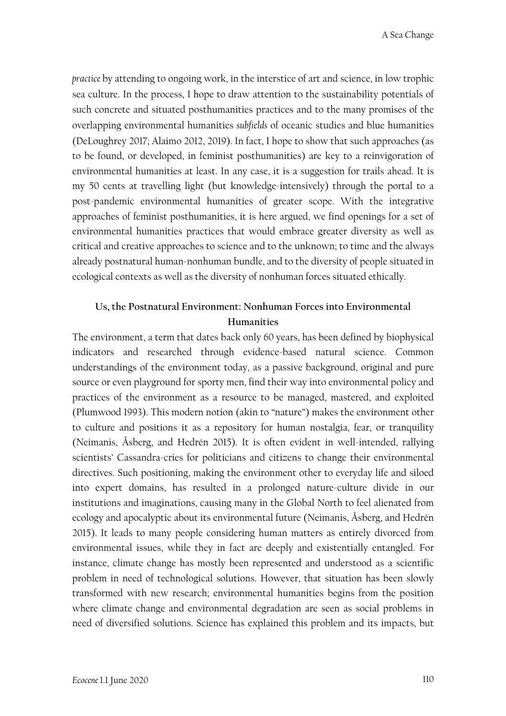*practice* by attending to ongoing work, in the interstice of art and science, in low trophic sea culture. In the process, I hope to draw attention to the sustainability potentials of such concrete and situated posthumanities practices and to the many promises of the overlapping environmental humanities *subfields* of oceanic studies and blue humanities (DeLoughrey 2017; Alaimo 2012, 2019). In fact, I hope to show that such approaches (as to be found, or developed, in feminist posthumanities) are key to a reinvigoration of environmental humanities at least. In any case, it is a suggestion for trails ahead. It is my 50 cents at travelling light (but knowledge-intensively) through the portal to a post-pandemic environmental humanities of greater scope. With the integrative approaches of feminist posthumanities, it is here argued, we find openings for a set of environmental humanities practices that would embrace greater diversity as well as critical and creative approaches to science and to the unknown; to time and the always already postnatural human-nonhuman bundle, and to the diversity of people situated in ecological contexts as well as the diversity of nonhuman forces situated ethically.

### **Us, the Postnatural Environment: Nonhuman Forces into Environmental Humanities**

The environment, a term that dates back only 60 years, has been defined by biophysical indicators and researched through evidence-based natural science. Common understandings of the environment today, as a passive background, original and pure source or even playground for sporty men, find their way into environmental policy and practices of the environment as a resource to be managed, mastered, and exploited (Plumwood 1993). This modern notion (akin to "nature") makes the environment other to culture and positions it as a repository for human nostalgia, fear, or tranquility (Neimanis, Åsberg, and Hedrén 2015). It is often evident in well-intended, rallying scientists' Cassandra-cries for politicians and citizens to change their environmental directives. Such positioning, making the environment other to everyday life and siloed into expert domains, has resulted in a prolonged nature-culture divide in our institutions and imaginations, causing many in the Global North to feel alienated from ecology and apocalyptic about its environmental future (Neimanis, Åsberg, and Hedrén 2015). It leads to many people considering human matters as entirely divorced from environmental issues, while they in fact are deeply and existentially entangled. For instance, climate change has mostly been represented and understood as a scientific problem in need of technological solutions. However, that situation has been slowly transformed with new research; environmental humanities begins from the position where climate change and environmental degradation are seen as social problems in need of diversified solutions. Science has explained this problem and its impacts, but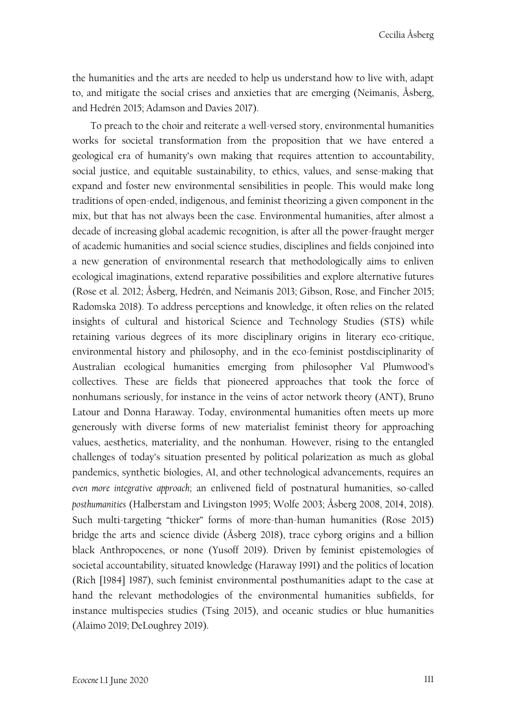Cecilia Åsberg

the humanities and the arts are needed to help us understand how to live with, adapt to, and mitigate the social crises and anxieties that are emerging (Neimanis, Åsberg, and Hedrén 2015; Adamson and Davies 2017).

To preach to the choir and reiterate a well-versed story, environmental humanities works for societal transformation from the proposition that we have entered a geological era of humanity's own making that requires attention to accountability, social justice, and equitable sustainability, to ethics, values, and sense-making that expand and foster new environmental sensibilities in people. This would make long traditions of open-ended, indigenous, and feminist theorizing a given component in the mix, but that has not always been the case. Environmental humanities, after almost a decade of increasing global academic recognition, is after all the power-fraught merger of academic humanities and social science studies, disciplines and fields conjoined into a new generation of environmental research that methodologically aims to enliven ecological imaginations, extend reparative possibilities and explore alternative futures (Rose et al. 2012; Åsberg, Hedrén, and Neimanis 2013; Gibson, Rose, and Fincher 2015; Radomska 2018). To address perceptions and knowledge, it often relies on the related insights of cultural and historical Science and Technology Studies (STS) while retaining various degrees of its more disciplinary origins in literary eco-critique, environmental history and philosophy, and in the eco-feminist postdisciplinarity of Australian ecological humanities emerging from philosopher Val Plumwood's collectives. These are fields that pioneered approaches that took the force of nonhumans seriously, for instance in the veins of actor network theory (ANT), Bruno Latour and Donna Haraway. Today, environmental humanities often meets up more generously with diverse forms of new materialist feminist theory for approaching values, aesthetics, materiality, and the nonhuman. However, rising to the entangled challenges of today's situation presented by political polarization as much as global pandemics, synthetic biologies, AI, and other technological advancements, requires an *even more integrative approach*; an enlivened field of postnatural humanities, so-called *posthumanities* (Halberstam and Livingston 1995; Wolfe 2003; Åsberg 2008, 2014, 2018). Such multi-targeting "thicker" forms of more-than-human humanities (Rose 2015) bridge the arts and science divide (Åsberg 2018), trace cyborg origins and a billion black Anthropocenes, or none (Yusoff 2019). Driven by feminist epistemologies of societal accountability, situated knowledge (Haraway 1991) and the politics of location (Rich [1984] 1987), such feminist environmental posthumanities adapt to the case at hand the relevant methodologies of the environmental humanities subfields, for instance multispecies studies (Tsing 2015), and oceanic studies or blue humanities (Alaimo 2019; DeLoughrey 2019).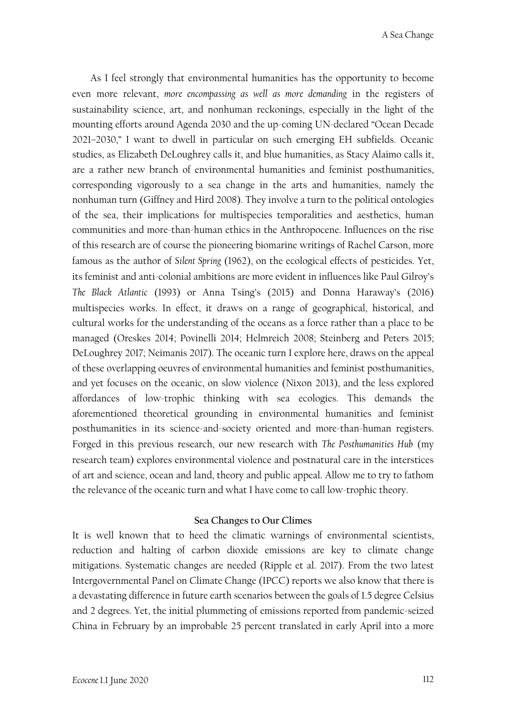A Sea Change

As I feel strongly that environmental humanities has the opportunity to become even more relevant, *more encompassing as well as more demanding* in the registers of sustainability science, art, and nonhuman reckonings, especially in the light of the mounting efforts around Agenda 2030 and the up-coming UN-declared "Ocean Decade 2021–2030," I want to dwell in particular on such emerging EH subfields. Oceanic studies, as Elizabeth DeLoughrey calls it, and blue humanities, as Stacy Alaimo calls it, are a rather new branch of environmental humanities and feminist posthumanities, corresponding vigorously to a sea change in the arts and humanities, namely the nonhuman turn (Giffney and Hird 2008). They involve a turn to the political ontologies of the sea, their implications for multispecies temporalities and aesthetics, human communities and more-than-human ethics in the Anthropocene. Influences on the rise of this research are of course the pioneering biomarine writings of Rachel Carson, more famous as the author of *Silent Spring* (1962), on the ecological effects of pesticides. Yet, its feminist and anti-colonial ambitions are more evident in influences like Paul Gilroy's *The Black Atlantic* (1993) or Anna Tsing's (2015) and Donna Haraway's (2016) multispecies works. In effect, it draws on a range of geographical, historical, and cultural works for the understanding of the oceans as a force rather than a place to be managed (Oreskes 2014; Povinelli 2014; Helmreich 2008; Steinberg and Peters 2015; DeLoughrey 2017; Neimanis 2017). The oceanic turn I explore here, draws on the appeal of these overlapping oeuvres of environmental humanities and feminist posthumanities, and yet focuses on the oceanic, on slow violence (Nixon 2013), and the less explored affordances of low-trophic thinking with sea ecologies. This demands the aforementioned theoretical grounding in environmental humanities and feminist posthumanities in its science-and-society oriented and more-than-human registers. Forged in this previous research, our new research with *The Posthumanities Hub* (my research team) explores environmental violence and postnatural care in the interstices of art and science, ocean and land, theory and public appeal. Allow me to try to fathom the relevance of the oceanic turn and what I have come to call low-trophic theory.

#### **Sea Changes to Our Climes**

It is well known that to heed the climatic warnings of environmental scientists, reduction and halting of carbon dioxide emissions are key to climate change mitigations. Systematic changes are needed (Ripple et al. 2017). From the two latest Intergovernmental Panel on Climate Change (IPCC) reports we also know that there is a devastating difference in future earth scenarios between the goals of 1.5 degree Celsius and 2 degrees. Yet, the initial plummeting of emissions reported from pandemic-seized China in February by an improbable 25 percent translated in early April into a more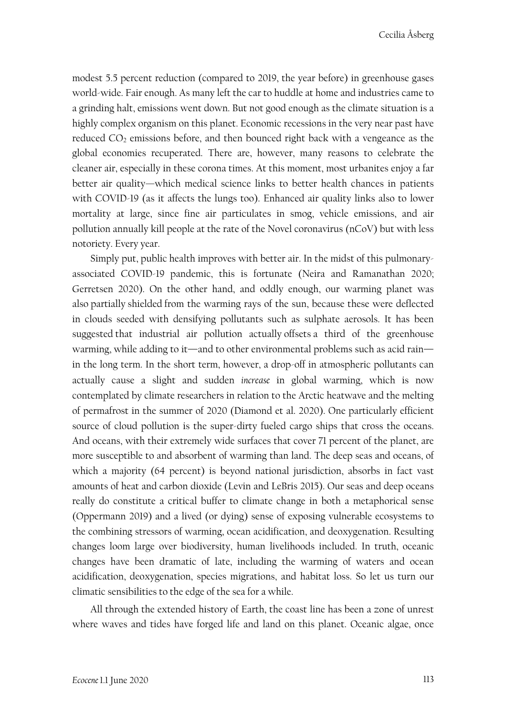modest 5.5 percent reduction (compared to 2019, the year before) in greenhouse gases world-wide. Fair enough. As many left the car to huddle at home and industries came to a grinding halt, emissions went down. But not good enough as the climate situation is a highly complex organism on this planet. Economic recessions in the very near past have reduced  $CO<sub>2</sub>$  emissions before, and then bounced right back with a vengeance as the global economies recuperated. There are, however, many reasons to celebrate the cleaner air, especially in these corona times. At this moment, most urbanites enjoy a far better air quality—which medical science links to better health chances in patients with COVID-19 (as it affects the lungs too). Enhanced air quality links also to lower mortality at large, since fine air particulates in smog, vehicle emissions, and air pollution annually kill people at the rate of the Novel coronavirus (nCoV) but with less notoriety. Every year.

Simply put, public health improves with better air. In the midst of this pulmonaryassociated COVID-19 pandemic, this is fortunate (Neira and Ramanathan 2020; Gerretsen 2020). On the other hand, and oddly enough, our warming planet was also partially shielded from the warming rays of the sun, because these were deflected in clouds seeded with densifying pollutants such as sulphate aerosols. It has been suggested that industrial air pollution actually offsets a third of the greenhouse warming, while adding to it—and to other environmental problems such as acid rain in the long term. In the short term, however, a drop-off in atmospheric pollutants can actually cause a slight and sudden *increase* in global warming, which is now contemplated by climate researchers in relation to the Arctic heatwave and the melting of permafrost in the summer of 2020 (Diamond et al. 2020). One particularly efficient source of cloud pollution is the super-dirty fueled cargo ships that cross the oceans. And oceans, with their extremely wide surfaces that cover 71 percent of the planet, are more susceptible to and absorbent of warming than land. The deep seas and oceans, of which a majority (64 percent) is beyond national jurisdiction, absorbs in fact vast amounts of heat and carbon dioxide (Levin and LeBris 2015). Our seas and deep oceans really do constitute a critical buffer to climate change in both a metaphorical sense (Oppermann 2019) and a lived (or dying) sense of exposing vulnerable ecosystems to the combining stressors of warming, ocean acidification, and deoxygenation. Resulting changes loom large over biodiversity, human livelihoods included. In truth, oceanic changes have been dramatic of late, including the warming of waters and ocean acidification, deoxygenation, species migrations, and habitat loss. So let us turn our climatic sensibilities to the edge of the sea for a while.

All through the extended history of Earth, the coast line has been a zone of unrest where waves and tides have forged life and land on this planet. Oceanic algae, once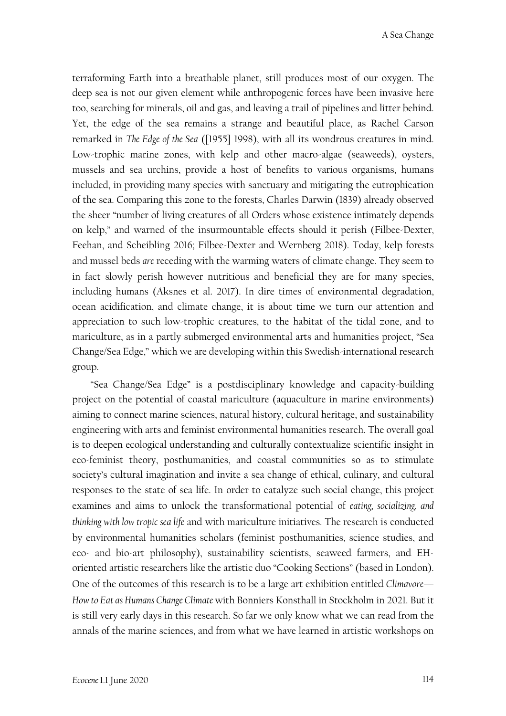terraforming Earth into a breathable planet, still produces most of our oxygen. The deep sea is not our given element while anthropogenic forces have been invasive here too, searching for minerals, oil and gas, and leaving a trail of pipelines and litter behind. Yet, the edge of the sea remains a strange and beautiful place, as Rachel Carson remarked in *The Edge of the Sea* ([1955] 1998), with all its wondrous creatures in mind. Low-trophic marine zones, with kelp and other macro-algae (seaweeds), oysters, mussels and sea urchins, provide a host of benefits to various organisms, humans included, in providing many species with sanctuary and mitigating the eutrophication of the sea. Comparing this zone to the forests, Charles Darwin (1839) already observed the sheer "number of living creatures of all Orders whose existence intimately depends on kelp," and warned of the insurmountable effects should it perish (Filbee-Dexter, Feehan, and Scheibling 2016; Filbee-Dexter and Wernberg 2018). Today, kelp forests and mussel beds *are* receding with the warming waters of climate change. They seem to in fact slowly perish however nutritious and beneficial they are for many species, including humans (Aksnes et al. 2017). In dire times of environmental degradation, ocean acidification, and climate change, it is about time we turn our attention and appreciation to such low-trophic creatures, to the habitat of the tidal zone, and to mariculture, as in a partly submerged environmental arts and humanities project, "Sea Change/Sea Edge," which we are developing within this Swedish-international research group.

"Sea Change/Sea Edge" is a postdisciplinary knowledge and capacity-building project on the potential of coastal mariculture (aquaculture in marine environments) aiming to connect marine sciences, natural history, cultural heritage, and sustainability engineering with arts and feminist environmental humanities research. The overall goal is to deepen ecological understanding and culturally contextualize scientific insight in eco-feminist theory, posthumanities, and coastal communities so as to stimulate society's cultural imagination and invite a sea change of ethical, culinary, and cultural responses to the state of sea life. In order to catalyze such social change, this project examines and aims to unlock the transformational potential of *eating, socializing, and thinking with low tropic sea life* and with mariculture initiatives. The research is conducted by environmental humanities scholars (feminist posthumanities, science studies, and eco- and bio-art philosophy), sustainability scientists, seaweed farmers, and EHoriented artistic researchers like the artistic duo "Cooking Sections" (based in London). One of the outcomes of this research is to be a large art exhibition entitled *Climavore— How to Eat as Humans Change Climate* with Bonniers Konsthall in Stockholm in 2021. But it is still very early days in this research. So far we only know what we can read from the annals of the marine sciences, and from what we have learned in artistic workshops on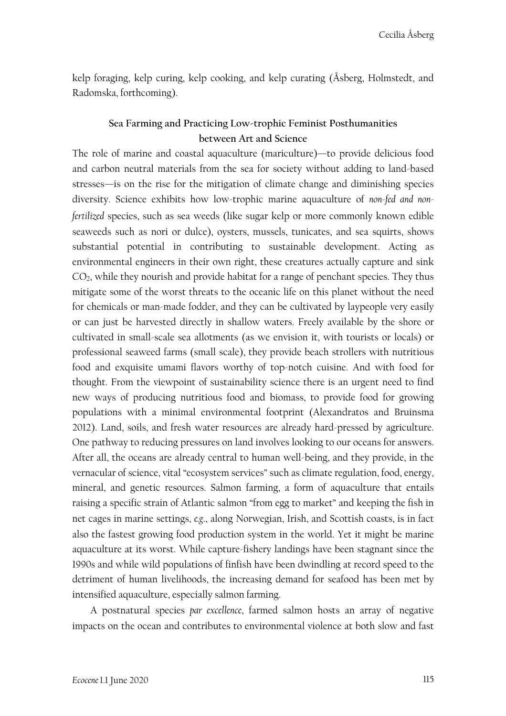kelp foraging, kelp curing, kelp cooking, and kelp curating (Åsberg, Holmstedt, and Radomska, forthcoming).

### **Sea Farming and Practicing Low-trophic Feminist Posthumanities between Art and Science**

The role of marine and coastal aquaculture (mariculture)—to provide delicious food and carbon neutral materials from the sea for society without adding to land-based stresses—is on the rise for the mitigation of climate change and diminishing species diversity. Science exhibits how low-trophic marine aquaculture of *non-fed and nonfertilized* species, such as sea weeds (like sugar kelp or more commonly known edible seaweeds such as nori or dulce), oysters, mussels, tunicates, and sea squirts, shows substantial potential in contributing to sustainable development. Acting as environmental engineers in their own right, these creatures actually capture and sink  $CO<sub>2</sub>$ , while they nourish and provide habitat for a range of penchant species. They thus mitigate some of the worst threats to the oceanic life on this planet without the need for chemicals or man-made fodder, and they can be cultivated by laypeople very easily or can just be harvested directly in shallow waters. Freely available by the shore or cultivated in small-scale sea allotments (as we envision it, with tourists or locals) or professional seaweed farms (small scale), they provide beach strollers with nutritious food and exquisite umami flavors worthy of top-notch cuisine. And with food for thought. From the viewpoint of sustainability science there is an urgent need to find new ways of producing nutritious food and biomass, to provide food for growing populations with a minimal environmental footprint (Alexandratos and Bruinsma 2012). Land, soils, and fresh water resources are already hard-pressed by agriculture. One pathway to reducing pressures on land involves looking to our oceans for answers. After all, the oceans are already central to human well-being, and they provide, in the vernacular of science, vital "ecosystem services" such as climate regulation, food, energy, mineral, and genetic resources. Salmon farming, a form of aquaculture that entails raising a specific strain of Atlantic salmon "from egg to market" and keeping the fish in net cages in marine settings, *e.g*., along Norwegian, Irish, and Scottish coasts, is in fact also the fastest growing food production system in the world. Yet it might be marine aquaculture at its worst. While capture-fishery landings have been stagnant since the 1990s and while wild populations of finfish have been dwindling at record speed to the detriment of human livelihoods, the increasing demand for seafood has been met by intensified aquaculture, especially salmon farming.

A postnatural species *par excellence*, farmed salmon hosts an array of negative impacts on the ocean and contributes to environmental violence at both slow and fast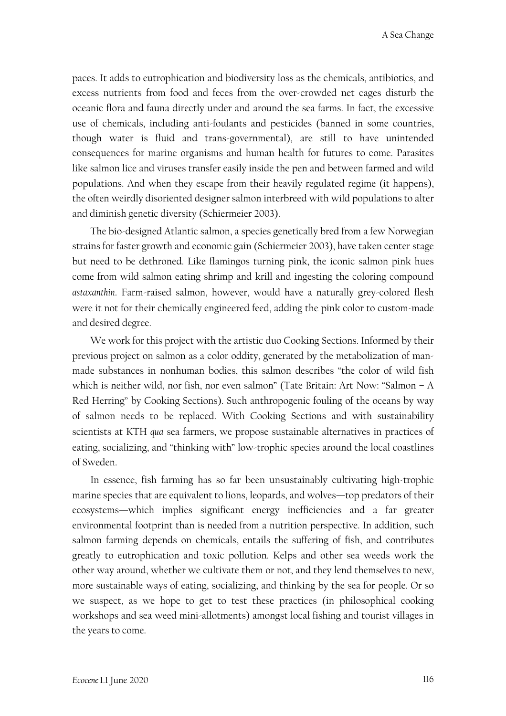paces. It adds to eutrophication and biodiversity loss as the chemicals, antibiotics, and excess nutrients from food and feces from the over-crowded net cages disturb the oceanic flora and fauna directly under and around the sea farms. In fact, the excessive use of chemicals, including anti-foulants and pesticides (banned in some countries, though water is fluid and trans-governmental), are still to have unintended consequences for marine organisms and human health for futures to come. Parasites like salmon lice and viruses transfer easily inside the pen and between farmed and wild populations. And when they escape from their heavily regulated regime (it happens), the often weirdly disoriented designer salmon interbreed with wild populations to alter and diminish genetic diversity (Schiermeier 2003).

The bio-designed Atlantic salmon, a species genetically bred from a few Norwegian strains for faster growth and economic gain (Schiermeier 2003), have taken center stage but need to be dethroned. Like flamingos turning pink, the iconic salmon pink hues come from wild salmon eating shrimp and krill and ingesting the coloring compound *astaxanthin*. Farm-raised salmon, however, would have a naturally grey-colored flesh were it not for their chemically engineered feed, adding the pink color to custom-made and desired degree.

We work for this project with the artistic duo Cooking Sections. Informed by their previous project on salmon as a color oddity, generated by the metabolization of manmade substances in nonhuman bodies, this salmon describes "the color of wild fish which is neither wild, nor fish, nor even salmon" (Tate Britain: Art Now: "Salmon – A Red Herring" by Cooking Sections). Such anthropogenic fouling of the oceans by way of salmon needs to be replaced. With Cooking Sections and with sustainability scientists at KTH *qua* sea farmers, we propose sustainable alternatives in practices of eating, socializing, and "thinking with" low-trophic species around the local coastlines of Sweden.

In essence, fish farming has so far been unsustainably cultivating high-trophic marine species that are equivalent to lions, leopards, and wolves—top predators of their ecosystems—which implies significant energy inefficiencies and a far greater environmental footprint than is needed from a nutrition perspective. In addition, such salmon farming depends on chemicals, entails the suffering of fish, and contributes greatly to eutrophication and toxic pollution. Kelps and other sea weeds work the other way around, whether we cultivate them or not, and they lend themselves to new, more sustainable ways of eating, socializing, and thinking by the sea for people. Or so we suspect, as we hope to get to test these practices (in philosophical cooking workshops and sea weed mini-allotments) amongst local fishing and tourist villages in the years to come.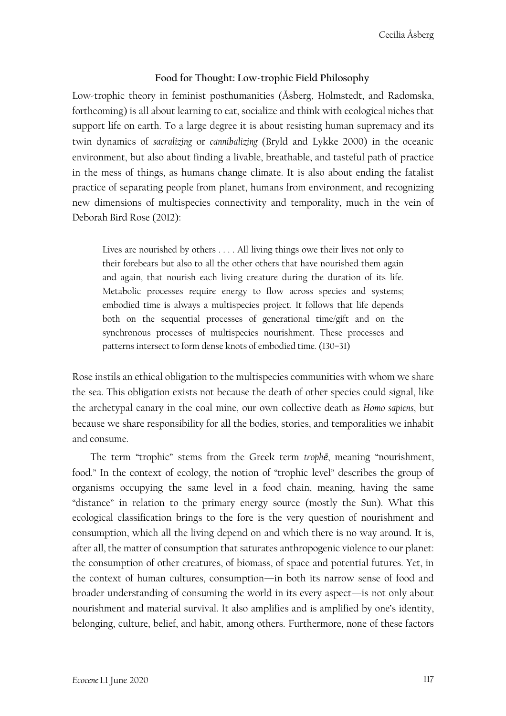### **Food for Thought: Low-trophic Field Philosophy**

Low-trophic theory in feminist posthumanities (Åsberg, Holmstedt, and Radomska, forthcoming) is all about learning to eat, socialize and think with ecological niches that support life on earth. To a large degree it is about resisting human supremacy and its twin dynamics of *sacralizing* or *cannibalizing* (Bryld and Lykke 2000) in the oceanic environment, but also about finding a livable, breathable, and tasteful path of practice in the mess of things, as humans change climate. It is also about ending the fatalist practice of separating people from planet, humans from environment, and recognizing new dimensions of multispecies connectivity and temporality, much in the vein of Deborah Bird Rose (2012):

Lives are nourished by others . . . . All living things owe their lives not only to their forebears but also to all the other others that have nourished them again and again, that nourish each living creature during the duration of its life. Metabolic processes require energy to flow across species and systems; embodied time is always a multispecies project. It follows that life depends both on the sequential processes of generational time/gift and on the synchronous processes of multispecies nourishment. These processes and patterns intersect to form dense knots of embodied time. (130–31)

Rose instils an ethical obligation to the multispecies communities with whom we share the sea. This obligation exists not because the death of other species could signal, like the archetypal canary in the coal mine, our own collective death as *Homo sapiens*, but because we share responsibility for all the bodies, stories, and temporalities we inhabit and consume.

The term "trophic" stems from the Greek term *trophē*, meaning "nourishment, food." In the context of ecology, the notion of "trophic level" describes the group of organisms occupying the same level in a food chain, meaning, having the same "distance" in relation to the primary energy source (mostly the Sun). What this ecological classification brings to the fore is the very question of nourishment and consumption, which all the living depend on and which there is no way around. It is, after all, the matter of consumption that saturates anthropogenic violence to our planet: the consumption of other creatures, of biomass, of space and potential futures. Yet, in the context of human cultures, consumption—in both its narrow sense of food and broader understanding of consuming the world in its every aspect—is not only about nourishment and material survival. It also amplifies and is amplified by one's identity, belonging, culture, belief, and habit, among others. Furthermore, none of these factors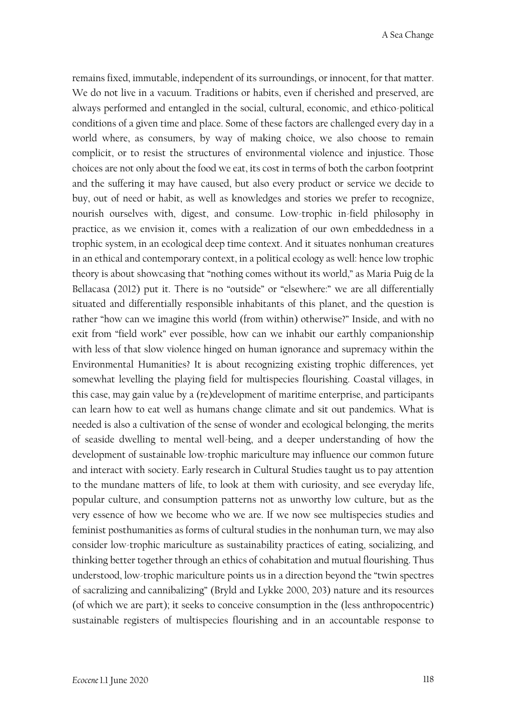remains fixed, immutable, independent of its surroundings, or innocent, for that matter. We do not live in a vacuum. Traditions or habits, even if cherished and preserved, are always performed and entangled in the social, cultural, economic, and ethico-political conditions of a given time and place. Some of these factors are challenged every day in a world where, as consumers, by way of making choice, we also choose to remain complicit, or to resist the structures of environmental violence and injustice. Those choices are not only about the food we eat, its cost in terms of both the carbon footprint and the suffering it may have caused, but also every product or service we decide to buy, out of need or habit, as well as knowledges and stories we prefer to recognize, nourish ourselves with, digest, and consume. Low-trophic in-field philosophy in practice, as we envision it, comes with a realization of our own embeddedness in a trophic system, in an ecological deep time context. And it situates nonhuman creatures in an ethical and contemporary context, in a political ecology as well: hence low trophic theory is about showcasing that "nothing comes without its world," as Maria Puig de la Bellacasa (2012) put it. There is no "outside" or "elsewhere:" we are all differentially situated and differentially responsible inhabitants of this planet, and the question is rather "how can we imagine this world (from within) otherwise?" Inside, and with no exit from "field work" ever possible, how can we inhabit our earthly companionship with less of that slow violence hinged on human ignorance and supremacy within the Environmental Humanities? It is about recognizing existing trophic differences, yet somewhat levelling the playing field for multispecies flourishing. Coastal villages, in this case, may gain value by a (re)development of maritime enterprise, and participants can learn how to eat well as humans change climate and sit out pandemics. What is needed is also a cultivation of the sense of wonder and ecological belonging, the merits of seaside dwelling to mental well-being, and a deeper understanding of how the development of sustainable low-trophic mariculture may influence our common future and interact with society. Early research in Cultural Studies taught us to pay attention to the mundane matters of life, to look at them with curiosity, and see everyday life, popular culture, and consumption patterns not as unworthy low culture, but as the very essence of how we become who we are. If we now see multispecies studies and feminist posthumanities as forms of cultural studies in the nonhuman turn, we may also consider low-trophic mariculture as sustainability practices of eating, socializing, and thinking better together through an ethics of cohabitation and mutual flourishing. Thus understood, low-trophic mariculture points us in a direction beyond the "twin spectres of sacralizing and cannibalizing" (Bryld and Lykke 2000, 203) nature and its resources (of which we are part); it seeks to conceive consumption in the (less anthropocentric) sustainable registers of multispecies flourishing and in an accountable response to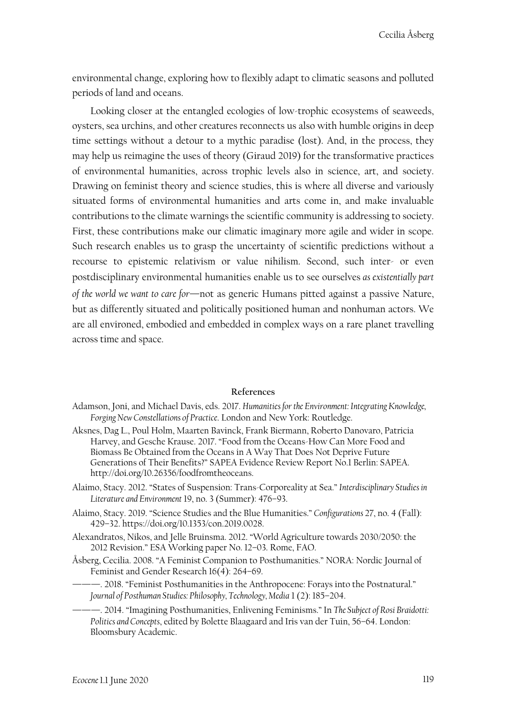environmental change, exploring how to flexibly adapt to climatic seasons and polluted periods of land and oceans.

Looking closer at the entangled ecologies of low-trophic ecosystems of seaweeds, oysters, sea urchins, and other creatures reconnects us also with humble origins in deep time settings without a detour to a mythic paradise (lost). And, in the process, they may help us reimagine the uses of theory (Giraud 2019) for the transformative practices of environmental humanities, across trophic levels also in science, art, and society. Drawing on feminist theory and science studies, this is where all diverse and variously situated forms of environmental humanities and arts come in, and make invaluable contributions to the climate warnings the scientific community is addressing to society. First, these contributions make our climatic imaginary more agile and wider in scope. Such research enables us to grasp the uncertainty of scientific predictions without a recourse to epistemic relativism or value nihilism. Second, such inter- or even postdisciplinary environmental humanities enable us to see ourselves *as existentially part of the world we want to care for*—not as generic Humans pitted against a passive Nature, but as differently situated and politically positioned human and nonhuman actors. We are all environed, embodied and embedded in complex ways on a rare planet travelling across time and space.

#### **References**

- Adamson, Joni, and Michael Davis, eds. 2017. *Humanities for the Environment: Integrating Knowledge, Forging New Constellations of Practice*. London and New York: Routledge.
- Aksnes, Dag L., Poul Holm, Maarten Bavinck, Frank Biermann, Roberto Danovaro, Patricia Harvey, and Gesche Krause. 2017. "Food from the Oceans-How Can More Food and Biomass Be Obtained from the Oceans in A Way That Does Not Deprive Future Generations of Their Benefits?" SAPEA Evidence Review Report No.1 Berlin: SAPEA. http://doi.org/10.26356/foodfromtheoceans.
- Alaimo, Stacy. 2012. "States of Suspension: Trans-Corporeality at Sea." *Interdisciplinary Studies in Literature and Environment* 19, no. 3 (Summer): 476–93.
- Alaimo, Stacy. 2019. "Science Studies and the Blue Humanities." *Configurations* 27, no. 4 (Fall): 429–32. https://doi.org/10.1353/con.2019.0028.
- Alexandratos, Nikos, and Jelle Bruinsma. 2012. "World Agriculture towards 2030/2050: the 2012 Revision." ESA Working paper No. 12–03. Rome, FAO.
- Åsberg, Cecilia. 2008. "A Feminist Companion to Posthumanities." NORA: Nordic Journal of Feminist and Gender Research 16(4): 264–69.
- -. 2018. "Feminist Posthumanities in the Anthropocene: Forays into the Postnatural." *Journal of Posthuman Studies: Philosophy, Technology, Media* 1 (2): 185–204.
	- ———. 2014. "Imagining Posthumanities, Enlivening Feminisms." In *The Subject of Rosi Braidotti: Politics and Concepts*, edited by Bolette Blaagaard and Iris van der Tuin, 56–64. London: Bloomsbury Academic.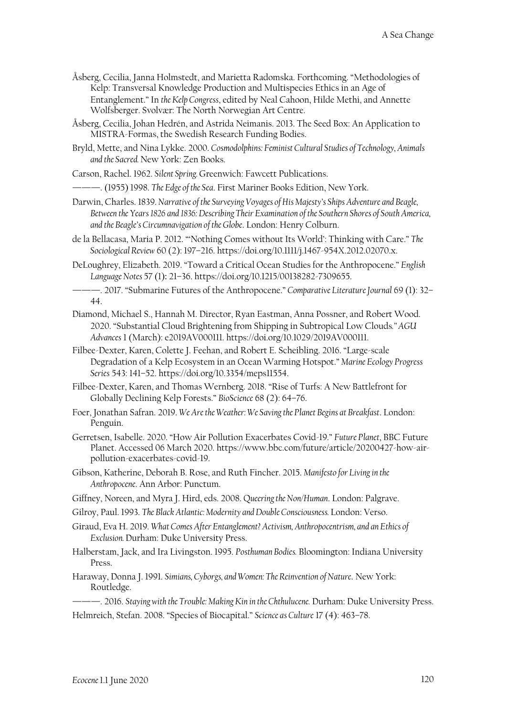- Åsberg, Cecilia, Janna Holmstedt, and Marietta Radomska. Forthcoming. "Methodologies of Kelp: Transversal Knowledge Production and Multispecies Ethics in an Age of Entanglement." In *theKelp Congress*, edited by Neal Cahoon, Hilde Methi, and Annette Wolfsberger. Svolvær: The North Norwegian Art Centre.
- Åsberg, Cecilia, Johan Hedrén, and Astrida Neimanis. 2013. The Seed Box: An Application to MISTRA-Formas, the Swedish Research Funding Bodies.
- Bryld, Mette, and Nina Lykke. 2000. *Cosmodolphins: Feminist Cultural Studies of Technology, Animals and the Sacred.* New York: Zen Books.

Carson, Rachel. 1962. *Silent Spring.* Greenwich: Fawcett Publications.

———. (1955) 1998. *The Edge of the Sea*. First Mariner Books Edition, New York.

- Darwin, Charles. 1839.*Narrative of the Surveying Voyages ofHis Majesty's Ships Adventure and Beagle, Between the Years 1826 and 1836: Describing Their Examination of the Southern Shores of South America, and the Beagle's Circumnavigation of the Globe*. London: Henry Colburn.
- de la Bellacasa, Maria P. 2012. "'Nothing Comes without Its World': Thinking with Care." *The Sociological Review* 60 (2): 197–216. https://doi.org/10.1111/j.1467-954X.2012.02070.x.
- DeLoughrey, Elizabeth. 2019. "Toward a Critical Ocean Studies for the Anthropocene." *English Language Notes* 57 (1)**:** 21–36. https://doi.org/10.1215/00138282-7309655.
- ———. 2017. "Submarine Futures of the Anthropocene." *Comparative Literature Journal* 69 (1): 32– 44.
- Diamond, Michael S., Hannah M. Director, Ryan Eastman, Anna Possner, and Robert Wood. 2020. "Substantial Cloud Brightening from Shipping in Subtropical Low Clouds*." AGU Advances* 1 (March): e2019AV000111. https://doi.org/10.1029/2019AV000111.
- Filbee-Dexter, Karen, Colette J. Feehan, and Robert E. Scheibling. 2016. "Large-scale Degradation of a Kelp Ecosystem in an Ocean Warming Hotspot." *Marine Ecology Progress Series* 543: 141–52. https://doi.org/10.3354/meps11554.
- Filbee-Dexter, Karen, and Thomas Wernberg. 2018. "Rise of Turfs: A New Battlefront for Globally Declining Kelp Forests." *BioScience* 68 (2): 64–76.
- Foer, Jonathan Safran. 2019. *We Are the Weather: We Saving the Planet Begins at Breakfast*. London: Penguin.
- Gerretsen, Isabelle. 2020. "How Air Pollution Exacerbates Covid-19." *Future Planet*, BBC Future Planet. Accessed 06 March 2020. https://www.bbc.com/future/article/20200427-how-airpollution-exacerbates-covid-19.
- Gibson, Katherine, Deborah B. Rose, and Ruth Fincher. 2015. *Manifesto for Living in the Anthropocene*. Ann Arbor: Punctum.
- Giffney, Noreen, and Myra J. Hird, eds. 2008. Q*ueering the Non/Human*. London: Palgrave.
- Gilroy, Paul. 1993. *The Black Atlantic: Modernity and Double Consciousness.* London: Verso.
- Giraud, Eva H. 2019. *What Comes After Entanglement? Activism, Anthropocentrism, and an Ethics of Exclusion.* Durham: Duke University Press.
- Halberstam, Jack, and Ira Livingston. 1995. *Posthuman Bodies.* Bloomington: Indiana University Press.
- Haraway, Donna J. 1991. *Simians, Cyborgs, and Women: The Reinvention of Nature*. New York: Routledge.

———. 2016. *Staying with the Trouble: Making Kin in the Chthulucene.* Durham: Duke University Press. Helmreich, Stefan. 2008. "Species of Biocapital." *Science as Culture* 17 (4): 463–78.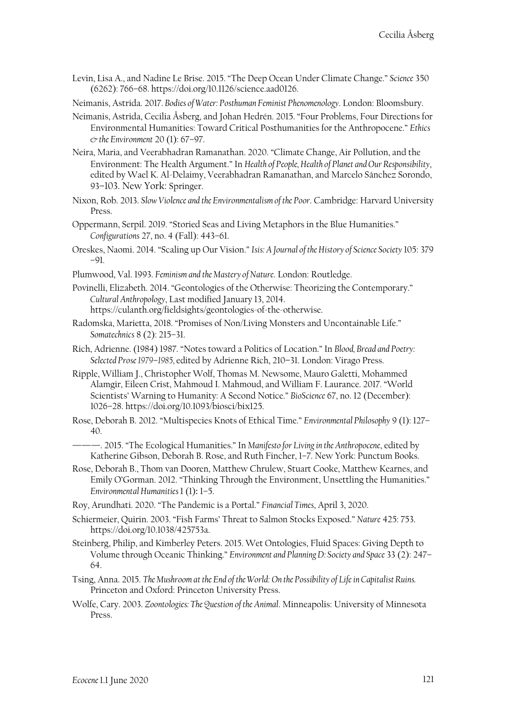Levin, Lisa A., and Nadine Le Brise. 2015. "The Deep Ocean Under Climate Change." *Science* 350 (6262): 766–68. https://doi.org/10.1126/science.aad0126.

Neimanis, Astrida. 2017. *Bodies of Water: Posthuman Feminist Phenomenology*. London: Bloomsbury.

- Neimanis, Astrida, Cecilia Åsberg, and Johan Hedrén. 2015. "Four Problems, Four Directions for Environmental Humanities: Toward Critical Posthumanities for the Anthropocene." *Ethics & the Environment* 20 (1): 67–97.
- Neira, Maria, and Veerabhadran Ramanathan. 2020. "Climate Change, Air Pollution, and the Environment: The Health Argument." In *Health of People, Health of Planet and Our Responsibility*, edited by Wael K. Al-Delaimy, Veerabhadran Ramanathan, and Marcelo Sánchez Sorondo, 93–103. New York: Springer.
- Nixon, Rob. 2013. *Slow Violence and the Environmentalismof the Poor*. Cambridge: Harvard University Press.
- Oppermann, Serpil. 2019. "Storied Seas and Living Metaphors in the Blue Humanities." *Configurations* 27, no. 4 (Fall): 443–61.
- Oreskes, Naomi. 2014. "Scaling up Our Vision." *Isis: A Journal of the History of Science Society* 105: 379 –91.
- Plumwood, Val. 1993. *Feminism and the Mastery of Nature*. London: Routledge.
- Povinelli, Elizabeth. 2014. "Geontologies of the Otherwise: Theorizing the Contemporary." *Cultural Anthropology*, Last modified January 13, 2014. https://culanth.org/fieldsights/geontologies-of-the-otherwise.
- Radomska, Marietta, 2018. "Promises of Non/Living Monsters and Uncontainable Life." *Somatechnics* 8 (2): 215–31.
- Rich, Adrienne. (1984) 1987. "Notes toward a Politics of Location." In *Blood, Bread and Poetry: Selected Prose 1979*–*1985,* edited by Adrienne Rich, 210–31. London: Virago Press.
- Ripple, William J., Christopher Wolf, Thomas M. Newsome, Mauro Galetti, Mohammed Alamgir, Eileen Crist, Mahmoud I. Mahmoud, and William F. Laurance. 2017. "World Scientists' Warning to Humanity: A Second Notice." *BioScience* 67, no. 12 (December): 1026–28. https://doi.org/10.1093/biosci/bix125.
- Rose, Deborah B. 2012. "Multispecies Knots of Ethical Time." *Environmental Philosophy* 9 (1): 127– 40.
	- ———. 2015. "The Ecological Humanities." In *Manifesto for Living in the Anthropocene*, edited by Katherine Gibson, Deborah B. Rose, and Ruth Fincher, 1–7. New York: Punctum Books.
- Rose, Deborah B., Thom van Dooren, Matthew Chrulew, Stuart Cooke, Matthew Kearnes, and Emily O'Gorman. 2012. "Thinking Through the Environment, Unsettling the Humanities." *Environmental Humanities* 1 (1)**:** 1–5.
- Roy, Arundhati. 2020. "The Pandemic is a Portal." *Financial Times*, April 3, 2020.
- Schiermeier, Quirin. 2003. "Fish Farms' Threat to Salmon Stocks Exposed." *Nature* 425: 753. https://doi.org/10.1038/425753a.
- Steinberg, Philip, and Kimberley Peters. 2015. Wet Ontologies, Fluid Spaces: Giving Depth to Volume through Oceanic Thinking." *Environment and Planning D: Society and Space* 33 (2): 247– 64.
- Tsing, Anna. 2015. *The Mushroom at the End of the World: On the Possibility of Life in Capitalist Ruins.*  Princeton and Oxford: Princeton University Press.
- Wolfe, Cary. 2003. *Zoontologies: The Question of the Animal*. Minneapolis: University of Minnesota Press.